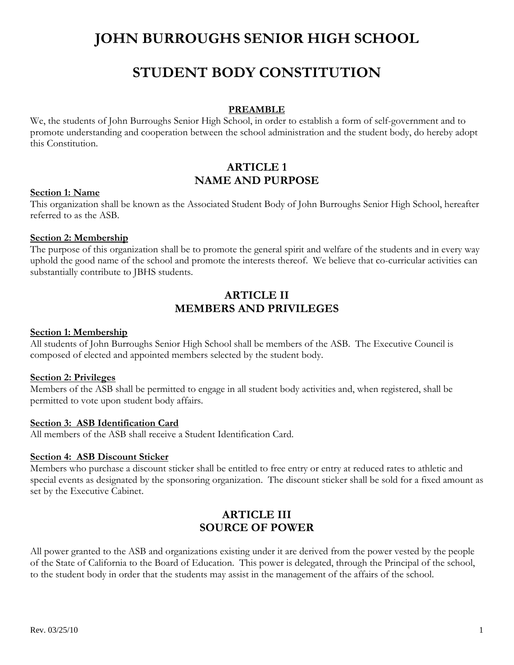# **JOHN BURROUGHS SENIOR HIGH SCHOOL**

# **STUDENT BODY CONSTITUTION**

#### **PREAMBLE**

We, the students of John Burroughs Senior High School, in order to establish a form of self-government and to promote understanding and cooperation between the school administration and the student body, do hereby adopt this Constitution.

# **ARTICLE 1 NAME AND PURPOSE**

#### **Section 1: Name**

This organization shall be known as the Associated Student Body of John Burroughs Senior High School, hereafter referred to as the ASB.

### **Section 2: Membership**

The purpose of this organization shall be to promote the general spirit and welfare of the students and in every way uphold the good name of the school and promote the interests thereof. We believe that co-curricular activities can substantially contribute to JBHS students.

# **ARTICLE II MEMBERS AND PRIVILEGES**

#### **Section 1: Membership**

All students of John Burroughs Senior High School shall be members of the ASB. The Executive Council is composed of elected and appointed members selected by the student body.

#### **Section 2: Privileges**

Members of the ASB shall be permitted to engage in all student body activities and, when registered, shall be permitted to vote upon student body affairs.

#### **Section 3: ASB Identification Card**

All members of the ASB shall receive a Student Identification Card.

#### **Section 4: ASB Discount Sticker**

Members who purchase a discount sticker shall be entitled to free entry or entry at reduced rates to athletic and special events as designated by the sponsoring organization. The discount sticker shall be sold for a fixed amount as set by the Executive Cabinet.

# **ARTICLE III SOURCE OF POWER**

All power granted to the ASB and organizations existing under it are derived from the power vested by the people of the State of California to the Board of Education. This power is delegated, through the Principal of the school, to the student body in order that the students may assist in the management of the affairs of the school.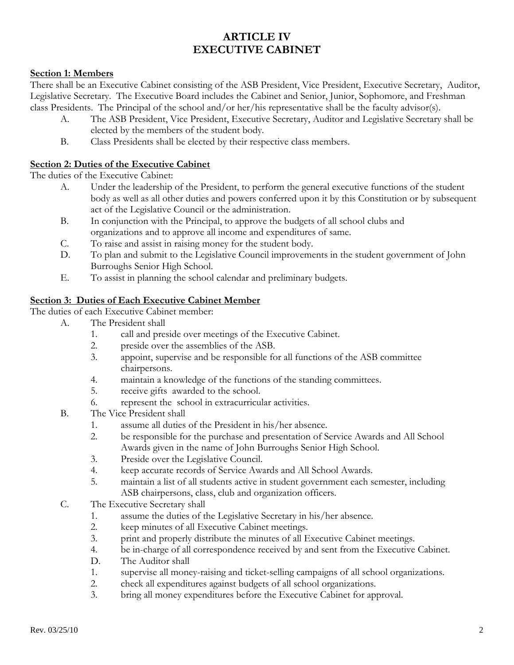# **ARTICLE IV EXECUTIVE CABINET**

# **Section 1: Members**

There shall be an Executive Cabinet consisting of the ASB President, Vice President, Executive Secretary, Auditor, Legislative Secretary. The Executive Board includes the Cabinet and Senior, Junior, Sophomore, and Freshman class Presidents. The Principal of the school and/or her/his representative shall be the faculty advisor(s).

- A. The ASB President, Vice President, Executive Secretary, Auditor and Legislative Secretary shall be elected by the members of the student body.
- B. Class Presidents shall be elected by their respective class members.

## **Section 2: Duties of the Executive Cabinet**

The duties of the Executive Cabinet:

- A. Under the leadership of the President, to perform the general executive functions of the student body as well as all other duties and powers conferred upon it by this Constitution or by subsequent act of the Legislative Council or the administration.
- B. In conjunction with the Principal, to approve the budgets of all school clubs and organizations and to approve all income and expenditures of same.
- C. To raise and assist in raising money for the student body.
- D. To plan and submit to the Legislative Council improvements in the student government of John Burroughs Senior High School.
- E. To assist in planning the school calendar and preliminary budgets.

# **Section 3: Duties of Each Executive Cabinet Member**

The duties of each Executive Cabinet member:

- A. The President shall
	- 1. call and preside over meetings of the Executive Cabinet.
	- 2. preside over the assemblies of the ASB.
	- 3. appoint, supervise and be responsible for all functions of the ASB committee chairpersons.
	- 4. maintain a knowledge of the functions of the standing committees.
	- 5. receive gifts awarded to the school.
	- 6. represent the school in extracurricular activities.
- B. The Vice President shall
	- 1. assume all duties of the President in his/her absence.
	- 2. be responsible for the purchase and presentation of Service Awards and All School Awards given in the name of John Burroughs Senior High School.
	- 3. Preside over the Legislative Council.
	- 4. keep accurate records of Service Awards and All School Awards.
	- 5. maintain a list of all students active in student government each semester, including ASB chairpersons, class, club and organization officers.
- C. The Executive Secretary shall
	- 1. assume the duties of the Legislative Secretary in his/her absence.
	- 2. keep minutes of all Executive Cabinet meetings.
	- 3. print and properly distribute the minutes of all Executive Cabinet meetings.
	- 4. be in-charge of all correspondence received by and sent from the Executive Cabinet.
	- D. The Auditor shall
	- 1. supervise all money-raising and ticket-selling campaigns of all school organizations.
	- 2. check all expenditures against budgets of all school organizations.
	- 3. bring all money expenditures before the Executive Cabinet for approval.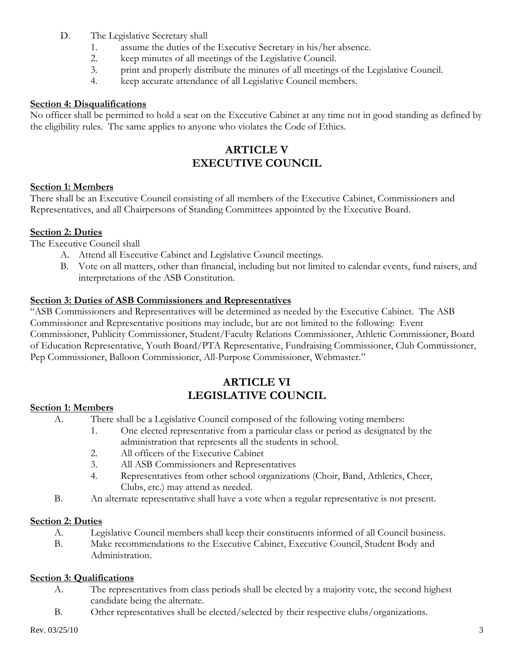- D. The Legislative Secretary shall
	- 1. assume the duties of the Executive Secretary in his/her absence.
	- 2. keep minutes of all meetings of the Legislative Council.
	- 3. print and properly distribute the minutes of all meetings of the Legislative Council.
	- 4. keep accurate attendance of all Legislative Council members.

## **Section 4: Disqualifications**

No officer shall be permitted to hold a seat on the Executive Cabinet at any time not in good standing as defined by the eligibility rules. The same applies to anyone who violates the Code of Ethics.

# **ARTICLE V EXECUTIVE COUNCIL**

### **Section 1: Members**

There shall be an Executive Council consisting of all members of the Executive Cabinet, Commissioners and Representatives, and all Chairpersons of Standing Committees appointed by the Executive Board.

# **Section 2: Duties**

The Executive Council shall

- A. Attend all Executive Cabinet and Legislative Council meetings.
- B. Vote on all matters, other than financial, including but not limited to calendar events, fund raisers, and interpretations of the ASB Constitution.

# **Section 3: Duties of ASB Commissioners and Representatives**

"ASB Commissioners and Representatives will be determined as needed by the Executive Cabinet. The ASB Commissioner and Representative positions may include, but are not limited to the following: Event Commissioner, Publicity Commissioner, Student/Faculty Relations Commissioner, Athletic Commissioner, Board of Education Representative, Youth Board/PTA Representative, Fundraising Commissioner, Club Commissioner, Pep Commissioner, Balloon Commissioner, All-Purpose Commissioner, Webmaster."

# **ARTICLE VI LEGISLATIVE COUNCIL**

### **Section 1: Members**

- A. There shall be a Legislative Council composed of the following voting members:
	- 1. One elected representative from a particular class or period as designated by the administration that represents all the students in school.
	- 2. All officers of the Executive Cabinet
	- 3. All ASB Commissioners and Representatives
	- 4. Representatives from other school organizations (Choir, Band, Athletics, Cheer, Clubs, etc.) may attend as needed.
- B. An alternate representative shall have a vote when a regular representative is not present.

# **Section 2: Duties**

- A. Legislative Council members shall keep their constituents informed of all Council business.
- B. Make recommendations to the Executive Cabinet, Executive Council, Student Body and Administration.

### **Section 3: Qualifications**

- A. The representatives from class periods shall be elected by a majority vote, the second highest candidate being the alternate.
- B. Other representatives shall be elected/selected by their respective clubs/organizations.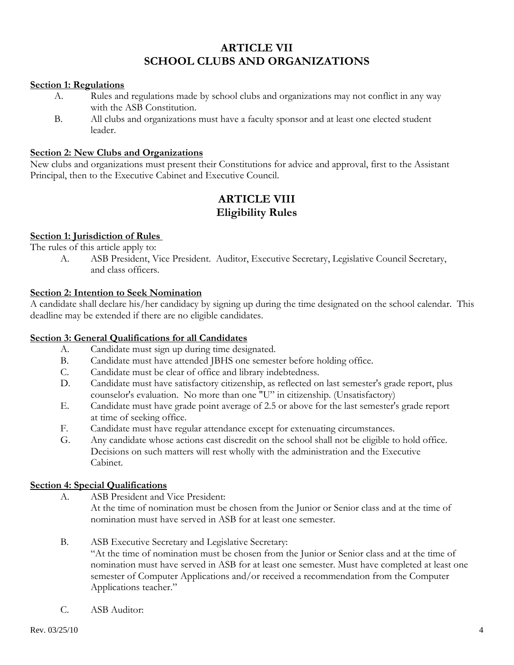# **ARTICLE VII SCHOOL CLUBS AND ORGANIZATIONS**

#### **Section 1: Regulations**

- A. Rules and regulations made by school clubs and organizations may not conflict in any way with the ASB Constitution.
- B. All clubs and organizations must have a faculty sponsor and at least one elected student leader.

#### **Section 2: New Clubs and Organizations**

New clubs and organizations must present their Constitutions for advice and approval, first to the Assistant Principal, then to the Executive Cabinet and Executive Council.

# **ARTICLE VIII Eligibility Rules**

### **Section 1: Jurisdiction of Rules**

The rules of this article apply to:

 A. ASB President, Vice President. Auditor, Executive Secretary, Legislative Council Secretary, and class officers.

# **Section 2: Intention to Seek Nomination**

A candidate shall declare his/her candidacy by signing up during the time designated on the school calendar. This deadline may be extended if there are no eligible candidates.

### **Section 3: General Qualifications for all Candidates**

- A. Candidate must sign up during time designated.
- B. Candidate must have attended JBHS one semester before holding office.
- C. Candidate must be clear of office and library indebtedness.
- D. Candidate must have satisfactory citizenship, as reflected on last semester's grade report, plus counselor's evaluation. No more than one "U" in citizenship. (Unsatisfactory)
- E. Candidate must have grade point average of 2.5 or above for the last semester's grade report at time of seeking office.
- F. Candidate must have regular attendance except for extenuating circumstances.
- G. Any candidate whose actions cast discredit on the school shall not be eligible to hold office. Decisions on such matters will rest wholly with the administration and the Executive Cabinet.

#### **Section 4: Special Qualifications**

A. ASB President and Vice President:

 At the time of nomination must be chosen from the Junior or Senior class and at the time of nomination must have served in ASB for at least one semester.

B. ASB Executive Secretary and Legislative Secretary:

 "At the time of nomination must be chosen from the Junior or Senior class and at the time of nomination must have served in ASB for at least one semester. Must have completed at least one semester of Computer Applications and/or received a recommendation from the Computer Applications teacher."

C. ASB Auditor: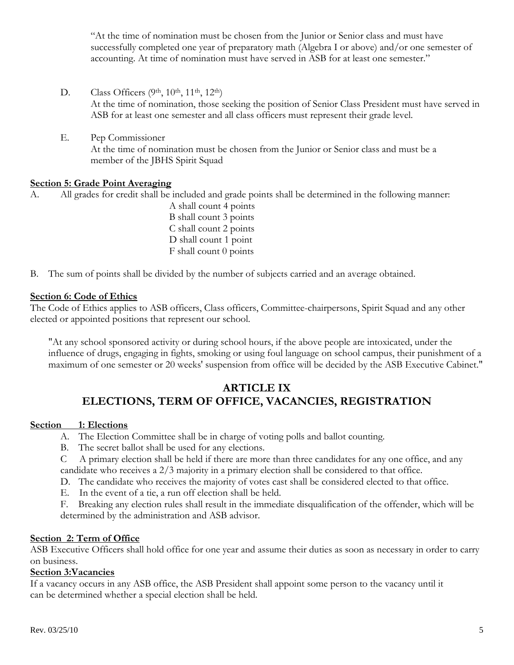"At the time of nomination must be chosen from the Junior or Senior class and must have successfully completed one year of preparatory math (Algebra I or above) and/or one semester of accounting. At time of nomination must have served in ASB for at least one semester."

- D. Class Officers (9th, 10th, 11th, 12th) At the time of nomination, those seeking the position of Senior Class President must have served in ASB for at least one semester and all class officers must represent their grade level.
- E. Pep Commissioner At the time of nomination must be chosen from the Junior or Senior class and must be a member of the JBHS Spirit Squad

# **Section 5: Grade Point Averaging**

A. All grades for credit shall be included and grade points shall be determined in the following manner:

A shall count 4 points B shall count 3 points C shall count 2 points D shall count 1 point F shall count 0 points

B. The sum of points shall be divided by the number of subjects carried and an average obtained.

#### **Section 6: Code of Ethics**

The Code of Ethics applies to ASB officers, Class officers, Committee-chairpersons, Spirit Squad and any other elected or appointed positions that represent our school.

"At any school sponsored activity or during school hours, if the above people are intoxicated, under the influence of drugs, engaging in fights, smoking or using foul language on school campus, their punishment of a maximum of one semester or 20 weeks' suspension from office will be decided by the ASB Executive Cabinet."

# **ARTICLE IX ELECTIONS, TERM OF OFFICE, VACANCIES, REGISTRATION**

### **Section 1: Elections**

- A. The Election Committee shall be in charge of voting polls and ballot counting.
- B. The secret ballot shall be used for any elections.
- C A primary election shall be held if there are more than three candidates for any one office, and any candidate who receives a 2/3 majority in a primary election shall be considered to that office.
- D. The candidate who receives the majority of votes cast shall be considered elected to that office.
- E. In the event of a tie, a run off election shall be held.

 F. Breaking any election rules shall result in the immediate disqualification of the offender, which will be determined by the administration and ASB advisor.

### **Section 2: Term of Office**

ASB Executive Officers shall hold office for one year and assume their duties as soon as necessary in order to carry on business.

### **Section 3:Vacancies**

If a vacancy occurs in any ASB office, the ASB President shall appoint some person to the vacancy until it can be determined whether a special election shall be held.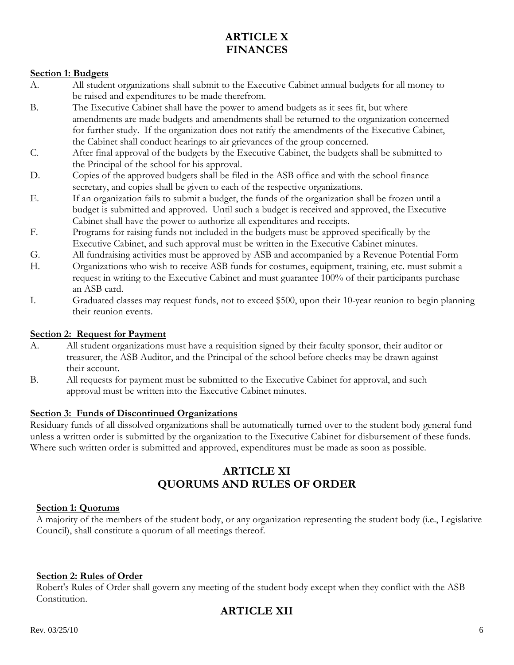# **ARTICLE X FINANCES**

# **Section 1: Budgets**

- A. All student organizations shall submit to the Executive Cabinet annual budgets for all money to be raised and expenditures to be made therefrom.
- B. The Executive Cabinet shall have the power to amend budgets as it sees fit, but where amendments are made budgets and amendments shall be returned to the organization concerned for further study. If the organization does not ratify the amendments of the Executive Cabinet, the Cabinet shall conduct hearings to air grievances of the group concerned.
- C. After final approval of the budgets by the Executive Cabinet, the budgets shall be submitted to the Principal of the school for his approval.
- D. Copies of the approved budgets shall be filed in the ASB office and with the school finance secretary, and copies shall be given to each of the respective organizations.
- E. If an organization fails to submit a budget, the funds of the organization shall be frozen until a budget is submitted and approved. Until such a budget is received and approved, the Executive Cabinet shall have the power to authorize all expenditures and receipts.
- F. Programs for raising funds not included in the budgets must be approved specifically by the Executive Cabinet, and such approval must be written in the Executive Cabinet minutes.
- G. All fundraising activities must be approved by ASB and accompanied by a Revenue Potential Form
- H. Organizations who wish to receive ASB funds for costumes, equipment, training, etc. must submit a request in writing to the Executive Cabinet and must guarantee 100% of their participants purchase an ASB card.
- I. Graduated classes may request funds, not to exceed \$500, upon their 10-year reunion to begin planning their reunion events.

## **Section 2: Request for Payment**

- A. All student organizations must have a requisition signed by their faculty sponsor, their auditor or treasurer, the ASB Auditor, and the Principal of the school before checks may be drawn against their account.
- B. All requests for payment must be submitted to the Executive Cabinet for approval, and such approval must be written into the Executive Cabinet minutes.

### **Section 3: Funds of Discontinued Organizations**

Residuary funds of all dissolved organizations shall be automatically turned over to the student body general fund unless a written order is submitted by the organization to the Executive Cabinet for disbursement of these funds. Where such written order is submitted and approved, expenditures must be made as soon as possible.

# **ARTICLE XI QUORUMS AND RULES OF ORDER**

### **Section 1: Quorums**

A majority of the members of the student body, or any organization representing the student body (i.e., Legislative Council), shall constitute a quorum of all meetings thereof.

### **Section 2: Rules of Order**

Robert's Rules of Order shall govern any meeting of the student body except when they conflict with the ASB Constitution.

# **ARTICLE XII**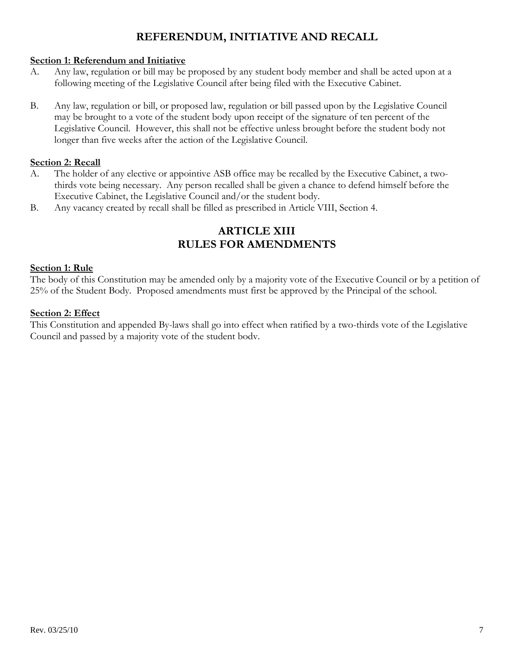# **REFERENDUM, INITIATIVE AND RECALL**

# **Section 1: Referendum and Initiative**

- A. Any law, regulation or bill may be proposed by any student body member and shall be acted upon at a following meeting of the Legislative Council after being filed with the Executive Cabinet.
- B. Any law, regulation or bill, or proposed law, regulation or bill passed upon by the Legislative Council may be brought to a vote of the student body upon receipt of the signature of ten percent of the Legislative Council. However, this shall not be effective unless brought before the student body not longer than five weeks after the action of the Legislative Council.

# **Section 2: Recall**

- A. The holder of any elective or appointive ASB office may be recalled by the Executive Cabinet, a two thirds vote being necessary. Any person recalled shall be given a chance to defend himself before the Executive Cabinet, the Legislative Council and/or the student body.
- B. Any vacancy created by recall shall be filled as prescribed in Article VIII, Section 4.

# **ARTICLE XIII RULES FOR AMENDMENTS**

# **Section 1: Rule**

The body of this Constitution may be amended only by a majority vote of the Executive Council or by a petition of 25% of the Student Body. Proposed amendments must first be approved by the Principal of the school.

# **Section 2: Effect**

This Constitution and appended By-laws shall go into effect when ratified by a two-thirds vote of the Legislative Council and passed by a majority vote of the student bodv.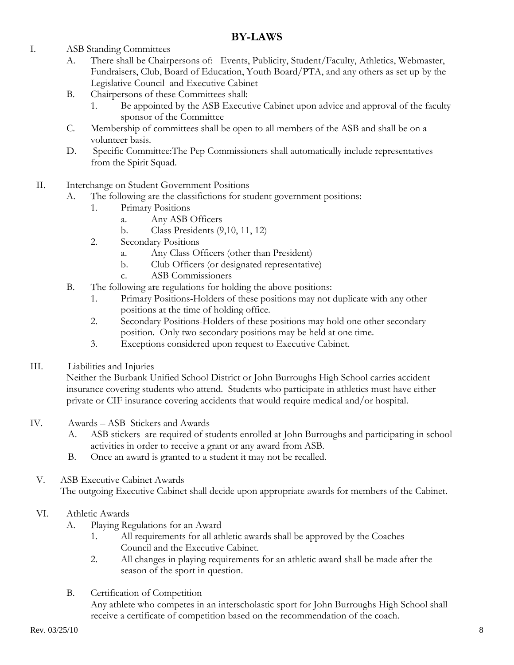# **BY-LAWS**

- I. ASB Standing Committees
	- A. There shall be Chairpersons of: Events, Publicity, Student/Faculty, Athletics, Webmaster, Fundraisers, Club, Board of Education, Youth Board/PTA, and any others as set up by the Legislative Council and Executive Cabinet
	- B. Chairpersons of these Committees shall:
		- 1. Be appointed by the ASB Executive Cabinet upon advice and approval of the faculty sponsor of the Committee
	- C. Membership of committees shall be open to all members of the ASB and shall be on a volunteer basis.
	- D. Specific Committee:The Pep Commissioners shall automatically include representatives from the Spirit Squad.
	- II. Interchange on Student Government Positions
		- A. The following are the classifictions for student government positions:
			- 1. Primary Positions
				- a. Any ASB Officers
				- b. Class Presidents (9,10, 11, 12)
			- 2. Secondary Positions
				- a. Any Class Officers (other than President)
				- b. Club Officers (or designated representative)
				- c. ASB Commissioners
		- B. The following are regulations for holding the above positions:
			- 1. Primary Positions-Holders of these positions may not duplicate with any other positions at the time of holding office.
			- 2. Secondary Positions-Holders of these positions may hold one other secondary position. Only two secondary positions may be held at one time.
			- 3. Exceptions considered upon request to Executive Cabinet.
- III. Liabilities and Injuries

 Neither the Burbank Unified School District or John Burroughs High School carries accident insurance covering students who attend. Students who participate in athletics must have either private or CIF insurance covering accidents that would require medical and/or hospital.

- IV. Awards ASB Stickers and Awards
	- A. ASB stickers are required of students enrolled at John Burroughs and participating in school activities in order to receive a grant or any award from ASB.
	- B. Once an award is granted to a student it may not be recalled.
	- V. ASB Executive Cabinet Awards

The outgoing Executive Cabinet shall decide upon appropriate awards for members of the Cabinet.

### VI. Athletic Awards

- A. Playing Regulations for an Award
	- 1. All requirements for all athletic awards shall be approved by the Coaches Council and the Executive Cabinet.
	- 2. All changes in playing requirements for an athletic award shall be made after the season of the sport in question.
- B. Certification of Competition

 Any athlete who competes in an interscholastic sport for John Burroughs High School shall receive a certificate of competition based on the recommendation of the coach.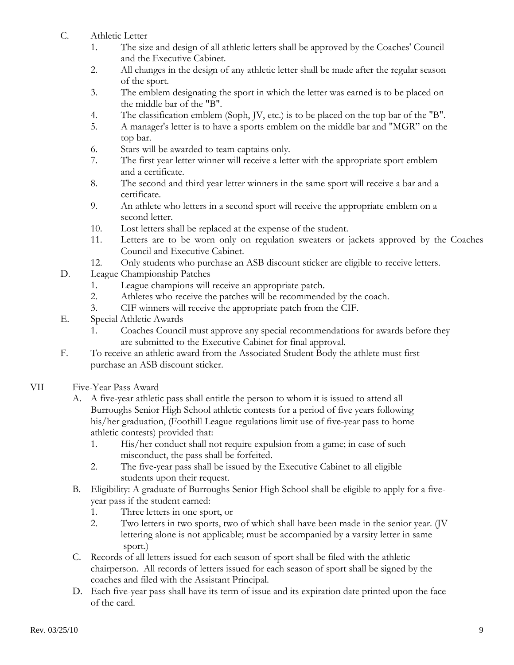- C. Athletic Letter
	- 1. The size and design of all athletic letters shall be approved by the Coaches' Council and the Executive Cabinet.
	- 2. All changes in the design of any athletic letter shall be made after the regular season of the sport.
	- 3. The emblem designating the sport in which the letter was earned is to be placed on the middle bar of the "B".
	- 4. The classification emblem (Soph, JV, etc.) is to be placed on the top bar of the "B".
	- 5. A manager's letter is to have a sports emblem on the middle bar and "MGR" on the top bar.
	- 6. Stars will be awarded to team captains only.
	- 7. The first year letter winner will receive a letter with the appropriate sport emblem and a certificate.
	- 8. The second and third year letter winners in the same sport will receive a bar and a certificate.
	- 9. An athlete who letters in a second sport will receive the appropriate emblem on a second letter.
	- 10. Lost letters shall be replaced at the expense of the student.
	- 11. Letters are to be worn only on regulation sweaters or jackets approved by the Coaches Council and Executive Cabinet.
	- 12. Only students who purchase an ASB discount sticker are eligible to receive letters.
- D. League Championship Patches
	- 1. League champions will receive an appropriate patch.
	- 2. Athletes who receive the patches will be recommended by the coach.
	- 3. CIF winners will receive the appropriate patch from the CIF.
- E. Special Athletic Awards
	- 1. Coaches Council must approve any special recommendations for awards before they are submitted to the Executive Cabinet for final approval.
- F. To receive an athletic award from the Associated Student Body the athlete must first purchase an ASB discount sticker.
- VII Five-Year Pass Award
	- A. A five-year athletic pass shall entitle the person to whom it is issued to attend all Burroughs Senior High School athletic contests for a period of five years following his/her graduation, (Foothill League regulations limit use of five-year pass to home athletic contests) provided that:
		- 1. His/her conduct shall not require expulsion from a game; in case of such misconduct, the pass shall be forfeited.
		- 2. The five-year pass shall be issued by the Executive Cabinet to all eligible students upon their request.
	- B. Eligibility: A graduate of Burroughs Senior High School shall be eligible to apply for a five year pass if the student earned:
		- 1. Three letters in one sport, or
		- 2. Two letters in two sports, two of which shall have been made in the senior year. (JV lettering alone is not applicable; must be accompanied by a varsity letter in same sport.)
	- C. Records of all letters issued for each season of sport shall be filed with the athletic chairperson. All records of letters issued for each season of sport shall be signed by the coaches and filed with the Assistant Principal.
	- D. Each five-year pass shall have its term of issue and its expiration date printed upon the face of the card.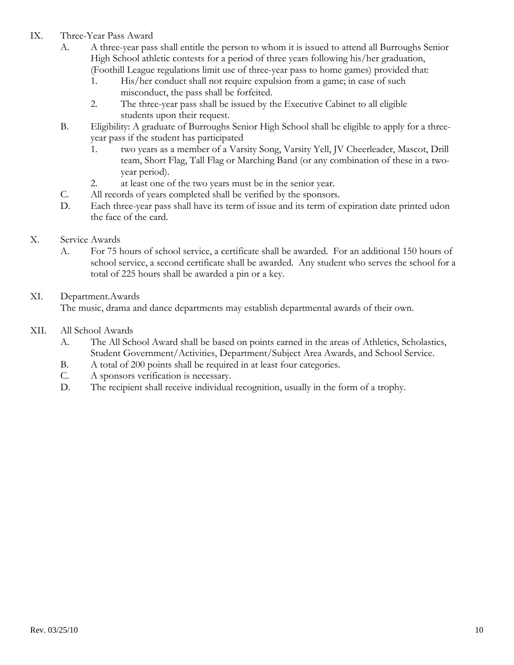- IX. Three-Year Pass Award
	- A. A three-year pass shall entitle the person to whom it is issued to attend all Burroughs Senior High School athletic contests for a period of three years following his/her graduation, (Foothill League regulations limit use of three-year pass to home games) provided that:
		- 1. His/her conduct shall not require expulsion from a game; in case of such misconduct, the pass shall be forfeited.
		- 2. The three-year pass shall be issued by the Executive Cabinet to all eligible students upon their request.
	- B. Eligibility: A graduate of Burroughs Senior High School shall be eligible to apply for a three year pass if the student has participated
		- 1. two years as a member of a Varsity Song, Varsity Yell, JV Cheerleader, Mascot, Drill team, Short Flag, Tall Flag or Marching Band (or any combination of these in a two year period).
		- 2. at least one of the two years must be in the senior year.
	- C. All records of years completed shall be verified by the sponsors.
	- D. Each three-year pass shall have its term of issue and its term of expiration date printed udon the face of the card.

# X. Service Awards

 A. For 75 hours of school service, a certificate shall be awarded. For an additional 150 hours of school service, a second certificate shall be awarded. Any student who serves the school for a total of 225 hours shall be awarded a pin or a key.

# XI. Department.Awards

The music, drama and dance departments may establish departmental awards of their own.

- XII. All School Awards
	- A. The All School Award shall be based on points earned in the areas of Athletics, Scholastics, Student Government/Activities, Department/Subject Area Awards, and School Service.
	- B. A total of 200 points shall be required in at least four categories.
	- C. A sponsors verification is necessary.
	- D. The recipient shall receive individual recognition, usually in the form of a trophy.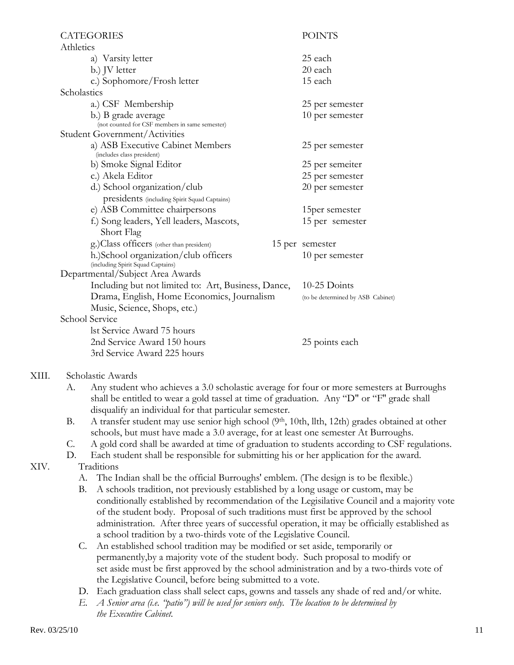| Athletics                                                                 |                                                                                                                                                                          |  |  |  |
|---------------------------------------------------------------------------|--------------------------------------------------------------------------------------------------------------------------------------------------------------------------|--|--|--|
| a) Varsity letter                                                         | 25 each                                                                                                                                                                  |  |  |  |
|                                                                           | 20 each                                                                                                                                                                  |  |  |  |
|                                                                           | 15 each                                                                                                                                                                  |  |  |  |
| Scholastics                                                               |                                                                                                                                                                          |  |  |  |
| a.) CSF Membership                                                        | 25 per semester                                                                                                                                                          |  |  |  |
| b.) B grade average<br>(not counted for CSF members in same semester)     | 10 per semester                                                                                                                                                          |  |  |  |
| Student Government/Activities                                             |                                                                                                                                                                          |  |  |  |
| a) ASB Executive Cabinet Members<br>(includes class president)            | 25 per semester                                                                                                                                                          |  |  |  |
| b) Smoke Signal Editor                                                    | 25 per semeiter                                                                                                                                                          |  |  |  |
| c.) Akela Editor                                                          | 25 per semester                                                                                                                                                          |  |  |  |
| d.) School organization/club                                              | 20 per semester                                                                                                                                                          |  |  |  |
|                                                                           | 15per semester                                                                                                                                                           |  |  |  |
| f.) Song leaders, Yell leaders, Mascots,<br>Short Flag                    | 15 per semester                                                                                                                                                          |  |  |  |
|                                                                           | 15 per semester                                                                                                                                                          |  |  |  |
| h.)School organization/club officers<br>(including Spirit Squad Captains) | 10 per semester                                                                                                                                                          |  |  |  |
| Departmental/Subject Area Awards                                          |                                                                                                                                                                          |  |  |  |
| Including but not limited to: Art, Business, Dance,                       | 10-25 Doints                                                                                                                                                             |  |  |  |
| Drama, English, Home Economics, Journalism                                | (to be determined by ASB Cabinet)                                                                                                                                        |  |  |  |
| Music, Science, Shops, etc.)                                              |                                                                                                                                                                          |  |  |  |
| School Service                                                            |                                                                                                                                                                          |  |  |  |
| lst Service Award 75 hours                                                |                                                                                                                                                                          |  |  |  |
| 2nd Service Award 150 hours                                               | 25 points each                                                                                                                                                           |  |  |  |
| 3rd Service Award 225 hours                                               |                                                                                                                                                                          |  |  |  |
|                                                                           | b.) JV letter<br>c.) Sophomore/Frosh letter<br>presidents (including Spirit Squad Captains)<br>e) ASB Committee chairpersons<br>g.)Class officers (other than president) |  |  |  |

# XIII. Scholastic Awards

- A. Any student who achieves a 3.0 scholastic average for four or more semesters at Burroughs shall be entitled to wear a gold tassel at time of graduation. Any "D" or "F'' grade shall disqualify an individual for that particular semester.
- B. A transfer student may use senior high school (9<sup>th</sup>, 10th, llth, 12th) grades obtained at other schools, but must have made a 3.0 average, for at least one semester At Burroughs.
- C. A gold cord shall be awarded at time of graduation to students according to CSF regulations.
- D. Each student shall be responsible for submitting his or her application for the award.

## XIV. Traditions

- A. The Indian shall be the official Burroughs' emblem. (The design is to be flexible.)
- B. A schools tradition, not previously established by a long usage or custom, may be conditionally established by recommendation of the Legisilative Council and a majority vote of the student body. Proposal of such traditions must first be approved by the school administration. After three years of successful operation, it may be officially established as a school tradition by a two-thirds vote of the Legislative Council.
- C. An established school tradition may be modified or set aside, temporarily or permanently,by a majority vote of the student body. Such proposal to modify or set aside must be first approved by the school administration and by a two-thirds vote of the Legislative Council, before being submitted to a vote.
- D. Each graduation class shall select caps, gowns and tassels any shade of red and/or white.
- *E. A Senior area (i.e. "patio") will be used for seniors only. The location to be determined by the Executive Cabinet.*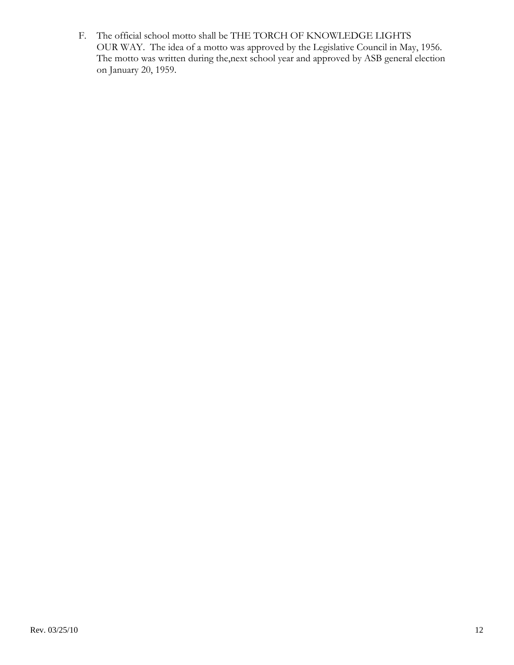F. The official school motto shall be THE TORCH OF KNOWLEDGE LIGHTS OUR WAY. The idea of a motto was approved by the Legislative Council in May, 1956. The motto was written during the,next school year and approved by ASB general election on January 20, 1959.